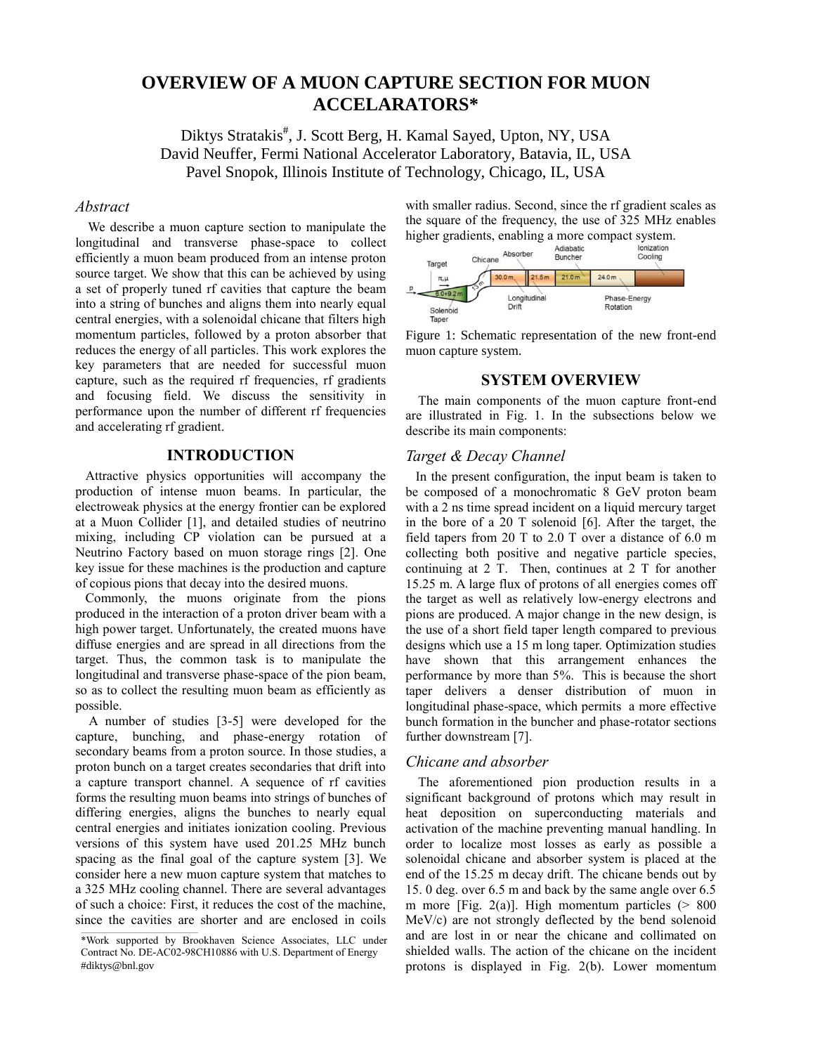# **OVERVIEW OF A MUON CAPTURE SECTION FOR MUON ACCELARATORS\***

Diktys Stratakis<sup>#</sup>, J. Scott Berg, H. Kamal Sayed, Upton, NY, USA David Neuffer, Fermi National Accelerator Laboratory, Batavia, IL, USA Pavel Snopok, Illinois Institute of Technology, Chicago, IL, USA

## *Abstract*

We describe a muon capture section to manipulate the longitudinal and transverse phase-space to collect efficiently a muon beam produced from an intense proton source target. We show that this can be achieved by using a set of properly tuned rf cavities that capture the beam into a string of bunches and aligns them into nearly equal central energies, with a solenoidal chicane that filters high momentum particles, followed by a proton absorber that reduces the energy of all particles. This work explores the key parameters that are needed for successful muon capture, such as the required rf frequencies, rf gradients and focusing field. We discuss the sensitivity in performance upon the number of different rf frequencies and accelerating rf gradient.

## **INTRODUCTION**

 Attractive physics opportunities will accompany the production of intense muon beams. In particular, the electroweak physics at the energy frontier can be explored at a Muon Collider [1], and detailed studies of neutrino mixing, including CP violation can be pursued at a Neutrino Factory based on muon storage rings [2]. One key issue for these machines is the production and capture of copious pions that decay into the desired muons.

 Commonly, the muons originate from the pions produced in the interaction of a proton driver beam with a high power target. Unfortunately, the created muons have diffuse energies and are spread in all directions from the target. Thus, the common task is to manipulate the longitudinal and transverse phase-space of the pion beam, so as to collect the resulting muon beam as efficiently as possible.

 A number of studies [3-5] were developed for the capture, bunching, and phase-energy rotation of secondary beams from a proton source. In those studies, a proton bunch on a target creates secondaries that drift into a capture transport channel. A sequence of rf cavities forms the resulting muon beams into strings of bunches of differing energies, aligns the bunches to nearly equal central energies and initiates ionization cooling. Previous versions of this system have used 201.25 MHz bunch spacing as the final goal of the capture system [3]. We consider here a new muon capture system that matches to a 325 MHz cooling channel. There are several advantages of such a choice: First, it reduces the cost of the machine, since the cavities are shorter and are enclosed in coils with smaller radius. Second, since the rf gradient scales as the square of the frequency, the use of 325 MHz enables



Figure 1: Schematic representation of the new front-end muon capture system.

#### **SYSTEM OVERVIEW**

The main components of the muon capture front-end are illustrated in Fig. 1. In the subsections below we describe its main components:

#### *Target & Decay Channel*

 In the present configuration, the input beam is taken to be composed of a monochromatic 8 GeV proton beam with a 2 ns time spread incident on a liquid mercury target in the bore of a 20 T solenoid [6]. After the target, the field tapers from 20 T to 2.0 T over a distance of 6.0 m collecting both positive and negative particle species, continuing at 2 T. Then, continues at 2 T for another 15.25 m. A large flux of protons of all energies comes off the target as well as relatively low-energy electrons and pions are produced. A major change in the new design, is the use of a short field taper length compared to previous designs which use a 15 m long taper. Optimization studies have shown that this arrangement enhances the performance by more than 5%. This is because the short taper delivers a denser distribution of muon in longitudinal phase-space, which permits a more effective bunch formation in the buncher and phase-rotator sections further downstream [7].

#### *Chicane and absorber*

The aforementioned pion production results in a significant background of protons which may result in heat deposition on superconducting materials and activation of the machine preventing manual handling. In order to localize most losses as early as possible a solenoidal chicane and absorber system is placed at the end of the 15.25 m decay drift. The chicane bends out by 15. 0 deg. over 6.5 m and back by the same angle over 6.5 m more [Fig. 2(a)]. High momentum particles  $(> 800$ MeV/c) are not strongly deflected by the bend solenoid and are lost in or near the chicane and collimated on shielded walls. The action of the chicane on the incident protons is displayed in Fig. 2(b). Lower momentum

<sup>\*</sup>Work supported by Brookhaven Science Associates, LLC under Contract No. DE-AC02-98CH10886 with U.S. Department of Energy #diktys@bnl.gov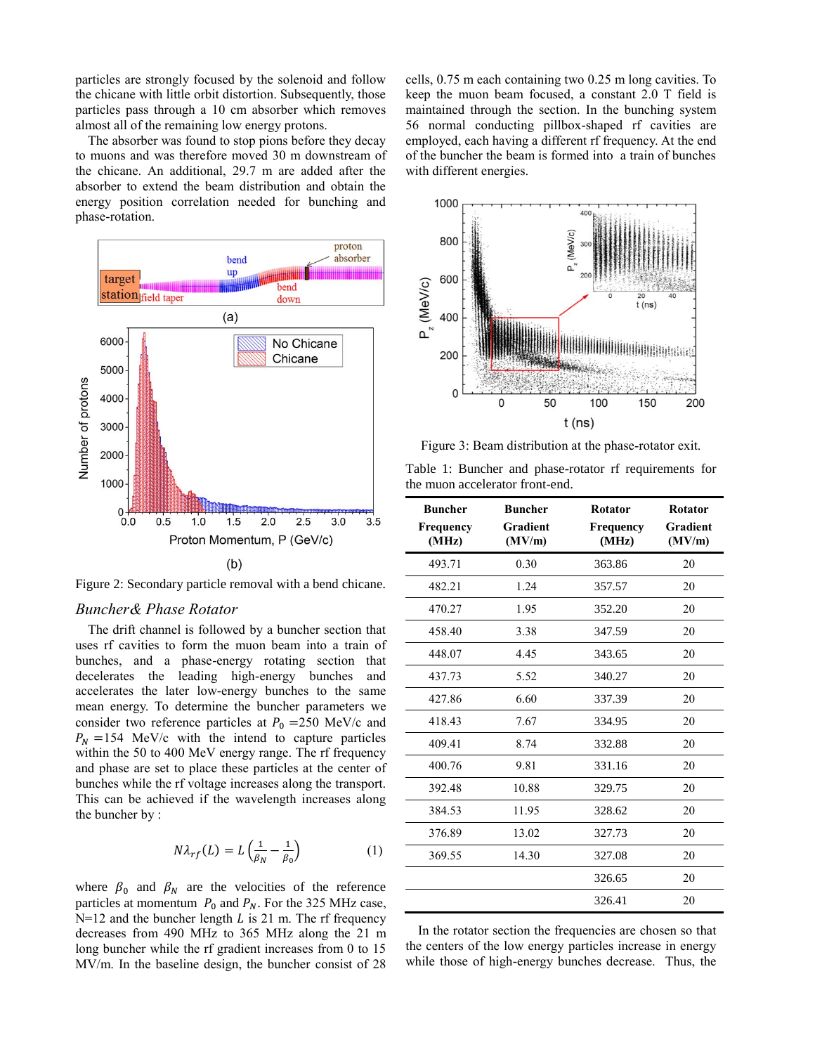particles are strongly focused by the solenoid and follow the chicane with little orbit distortion. Subsequently, those particles pass through a 10 cm absorber which removes almost all of the remaining low energy protons.

The absorber was found to stop pions before they decay to muons and was therefore moved 30 m downstream of the chicane. An additional, 29.7 m are added after the absorber to extend the beam distribution and obtain the energy position correlation needed for bunching and phase-rotation.



Figure 2: Secondary particle removal with a bend chicane.

#### *Buncher& Phase Rotator*

The drift channel is followed by a buncher section that uses rf cavities to form the muon beam into a train of bunches, and a phase-energy rotating section that decelerates the leading high-energy bunches and accelerates the later low-energy bunches to the same mean energy. To determine the buncher parameters we consider two reference particles at  $P_0 = 250$  MeV/c and  $P_N = 154$  MeV/c with the intend to capture particles within the 50 to 400 MeV energy range. The rf frequency and phase are set to place these particles at the center of bunches while the rf voltage increases along the transport. This can be achieved if the wavelength increases along the buncher by :

$$
N\lambda_{rf}(L) = L\left(\frac{1}{\beta_N} - \frac{1}{\beta_0}\right) \tag{1}
$$

where  $\beta_0$  and  $\beta_N$  are the velocities of the reference particles at momentum  $P_0$  and  $P_N$ . For the 325 MHz case,  $N=12$  and the buncher length *L* is 21 m. The rf frequency decreases from 490 MHz to 365 MHz along the 21 m long buncher while the rf gradient increases from 0 to 15 MV/m. In the baseline design, the buncher consist of 28 cells, 0.75 m each containing two 0.25 m long cavities. To keep the muon beam focused, a constant 2.0 T field is maintained through the section. In the bunching system 56 normal conducting pillbox-shaped rf cavities are employed, each having a different rf frequency. At the end of the buncher the beam is formed into a train of bunches with different energies.



Figure 3: Beam distribution at the phase-rotator exit.

|  |                                 | Table 1: Buncher and phase-rotator rf requirements for |  |  |
|--|---------------------------------|--------------------------------------------------------|--|--|
|  | the muon accelerator front-end. |                                                        |  |  |

| <b>Buncher</b><br>Frequency<br>(MHz) | <b>Buncher</b><br>Gradient<br>(MV/m) | <b>Rotator</b><br>Frequency<br>(MHz) | <b>Rotator</b><br>Gradient<br>(MV/m) |
|--------------------------------------|--------------------------------------|--------------------------------------|--------------------------------------|
| 493.71                               | 0.30                                 | 363.86                               | 20                                   |
| 482.21                               | 1.24                                 | 357.57                               | 20                                   |
| 470.27                               | 1.95                                 | 352.20                               | 20                                   |
| 458.40                               | 3.38                                 | 347.59                               | 20                                   |
| 448.07                               | 4.45                                 | 343.65                               | 20                                   |
| 437.73                               | 5.52                                 | 340.27                               | 20                                   |
| 427.86                               | 6.60                                 | 337.39                               | 20                                   |
| 418.43                               | 7.67                                 | 334.95                               | 20                                   |
| 409.41                               | 8.74                                 | 332.88                               | 20                                   |
| 400.76                               | 9.81                                 | 331.16                               | 20                                   |
| 392.48                               | 10.88                                | 329.75                               | 20                                   |
| 384.53                               | 11.95                                | 328.62                               | 20                                   |
| 376.89                               | 13.02                                | 327.73                               | 20                                   |
| 369.55                               | 14.30                                | 327.08                               | 20                                   |
|                                      |                                      | 326.65                               | 20                                   |
|                                      |                                      | 326.41                               | 20                                   |

In the rotator section the frequencies are chosen so that the centers of the low energy particles increase in energy while those of high-energy bunches decrease. Thus, the